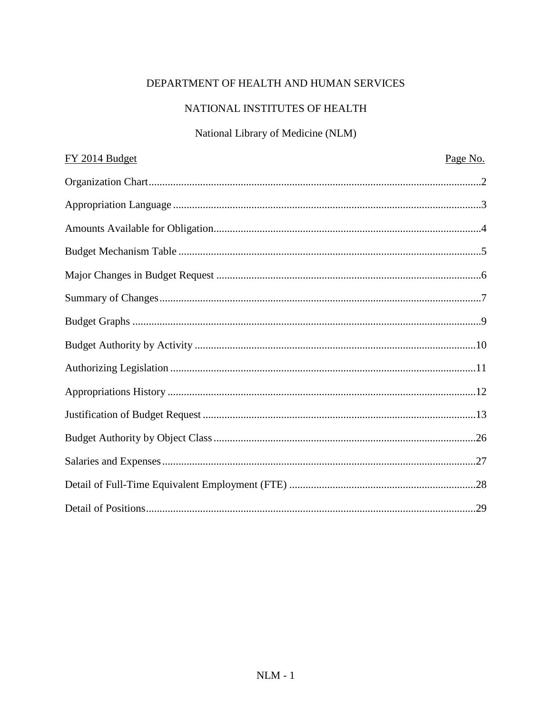# DEPARTMENT OF HEALTH AND HUMAN SERVICES

# NATIONAL INSTITUTES OF HEALTH

## National Library of Medicine (NLM)

| FY 2014 Budget | Page No. |
|----------------|----------|
|                |          |
|                |          |
|                |          |
|                |          |
|                |          |
|                |          |
|                |          |
|                |          |
|                |          |
|                |          |
|                |          |
|                |          |
|                |          |
|                |          |
|                |          |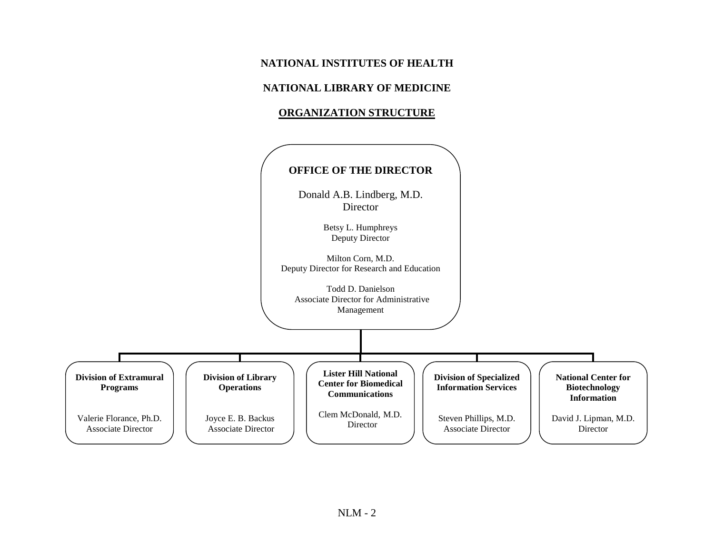## **NATIONAL INSTITUTES OF HEALTH**

### **NATIONAL LIBRARY OF MEDICINE**

### **ORGANIZATION STRUCTURE**

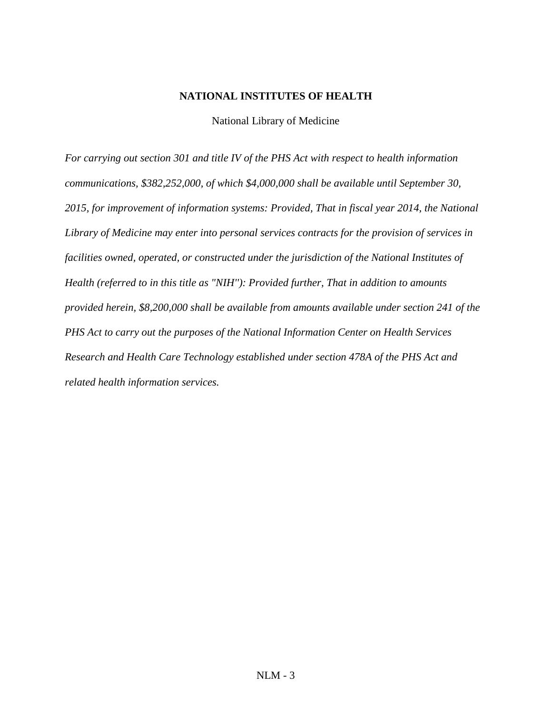### **NATIONAL INSTITUTES OF HEALTH**

National Library of Medicine

*For carrying out section 301 and title IV of the PHS Act with respect to health information communications, \$382,252,000, of which \$4,000,000 shall be available until September 30, 2015, for improvement of information systems: Provided, That in fiscal year 2014, the National Library of Medicine may enter into personal services contracts for the provision of services in facilities owned, operated, or constructed under the jurisdiction of the National Institutes of Health (referred to in this title as "NIH''): Provided further, That in addition to amounts provided herein, \$8,200,000 shall be available from amounts available under section 241 of the PHS Act to carry out the purposes of the National Information Center on Health Services Research and Health Care Technology established under section 478A of the PHS Act and related health information services.*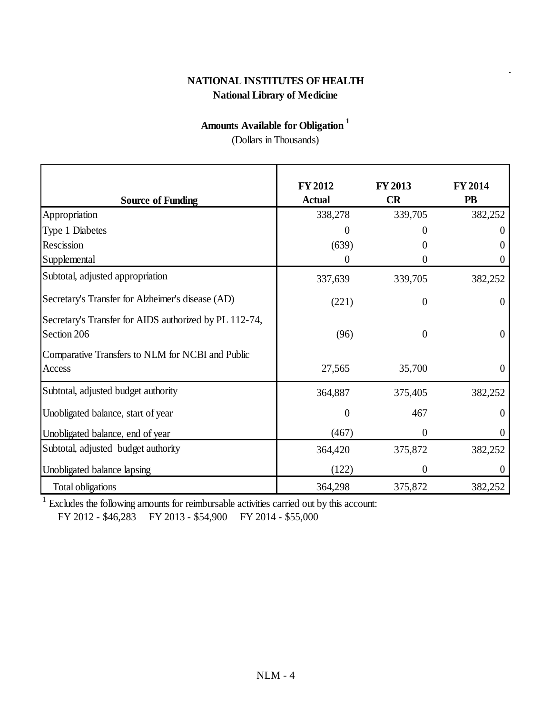# **National Library of Medicine NATIONAL INSTITUTES OF HEALTH**

# **Amounts Available for Obligation <sup>1</sup>**

(Dollars in Thousands)

|                                                                       | <b>FY 2012</b> | <b>FY 2013</b>   | <b>FY 2014</b> |
|-----------------------------------------------------------------------|----------------|------------------|----------------|
| <b>Source of Funding</b>                                              | <b>Actual</b>  | CR               | <b>PB</b>      |
| Appropriation                                                         | 338,278        | 339,705          | 382,252        |
| Type 1 Diabetes                                                       | 0              |                  | $\theta$       |
| Rescission                                                            | (639)          | 0                | $\theta$       |
| Supplemental                                                          | 0              | 0                | $\theta$       |
| Subtotal, adjusted appropriation                                      | 337,639        | 339,705          | 382,252        |
| Secretary's Transfer for Alzheimer's disease (AD)                     | (221)          | $\theta$         | $\overline{0}$ |
| Secretary's Transfer for AIDS authorized by PL 112-74,<br>Section 206 | (96)           | $\theta$         | $\overline{0}$ |
| Comparative Transfers to NLM for NCBI and Public<br>Access            | 27,565         | 35,700           | $\theta$       |
| Subtotal, adjusted budget authority                                   | 364,887        | 375,405          | 382,252        |
| Unobligated balance, start of year                                    | $\overline{0}$ | 467              | $\overline{0}$ |
| Unobligated balance, end of year                                      | (467)          | $\overline{0}$   | $\overline{0}$ |
| Subtotal, adjusted budget authority                                   | 364,420        | 375,872          | 382,252        |
| Unobligated balance lapsing                                           | (122)          | $\boldsymbol{0}$ | $\theta$       |
| Total obligations                                                     | 364,298        | 375,872          | 382,252        |

<sup>1</sup> Excludes the following amounts for reimbursable activities carried out by this account:

FY 2012 - \$46,283 FY 2013 - \$54,900 FY 2014 - \$55,000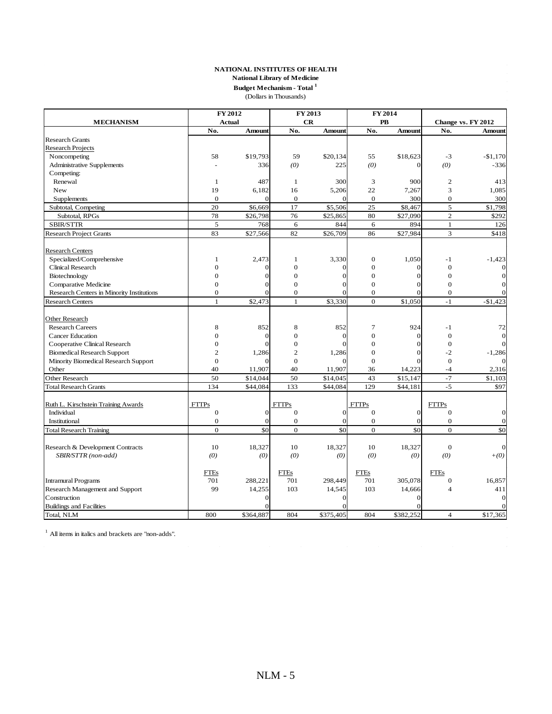**Budget Mechanism - Total <sup>1</sup>**

(Dollars in Thousands)

|                                           |                | FY 2012        |                  | FY 2013         |                  | FY 2014       |                         |                    |
|-------------------------------------------|----------------|----------------|------------------|-----------------|------------------|---------------|-------------------------|--------------------|
| <b>MECHANISM</b>                          |                | <b>Actual</b>  |                  | CR              | <b>PB</b>        |               |                         | Change vs. FY 2012 |
|                                           | No.            | <b>Amount</b>  | No.              | <b>Amount</b>   | No.              | <b>Amount</b> | No.                     | Amount             |
| <b>Research Grants</b>                    |                |                |                  |                 |                  |               |                         |                    |
| <b>Research Projects</b>                  |                |                |                  |                 |                  |               |                         |                    |
| Noncompeting                              | 58             | \$19,793       | 59               | \$20.134        | 55               | \$18,623      | $-3$                    | $-$1,170$          |
| <b>Administrative Supplements</b>         |                | 336            | (0)              | 225             | (0)              | $\Omega$      | (0)                     | $-336$             |
| Competing:                                |                |                |                  |                 |                  |               |                         |                    |
| Renewal                                   | $\mathbf{1}$   | 487            | $\mathbf{1}$     | 300             | 3                | 900           | $\mathfrak{2}$          | 413                |
| New                                       | 19             | 6,182          | 16               | 5,206           | 22               | 7,267         | 3                       | 1,085              |
| Supplements                               | $\overline{0}$ | $\overline{0}$ | $\theta$         | $\Omega$        | $\mathbf{0}$     | 300           | $\mathbf{0}$            | 300                |
| Subtotal, Competing                       | 20             | \$6,669        | 17               | \$5,506         | 25               | \$8,467       | 5                       | \$1,798            |
| Subtotal, RPGs                            | 78             | \$26,798       | 76               | \$25,865        | 80               | \$27,090      | $\overline{c}$          | \$292              |
| <b>SBIR/STTR</b>                          | 5              | 768            | 6                | 844             | 6                | 894           | $\mathbf{1}$            | 126                |
| <b>Research Project Grants</b>            | 83             | \$27,566       | 82               | \$26,709        | 86               | \$27,984      | 3                       | \$418              |
| <b>Research Centers</b>                   |                |                |                  |                 |                  |               |                         |                    |
| Specialized/Comprehensive                 | $\mathbf{1}$   | 2,473          | $\mathbf{1}$     | 3,330           | $\overline{0}$   | 1.050         | $-1$                    | $-1,423$           |
| Clinical Research                         | $\overline{0}$ |                | $\overline{0}$   | 0               | $\overline{0}$   | 0             | $\mathbf{0}$            |                    |
| Biotechnology                             | $\Omega$       | 0              | $\Omega$         | $\Omega$        | $\theta$         |               | $\Omega$                |                    |
| Comparative Medicine                      | $\Omega$       | 0              | $\Omega$         | O               | $\theta$         |               | $\Omega$                |                    |
| Research Centers in Minority Institutions | $\overline{0}$ |                | $\mathbf{0}$     | $\Omega$        | $\boldsymbol{0}$ | O             | $\boldsymbol{0}$        |                    |
| <b>Research Centers</b>                   | $\mathbf{1}$   | \$2,473        | $\mathbf{1}$     | \$3,330         | $\Omega$         | \$1,050       | $-1$                    | $-$1,423$          |
|                                           |                |                |                  |                 |                  |               |                         |                    |
| Other Research                            |                |                |                  |                 |                  |               |                         |                    |
| <b>Research Careers</b>                   | 8              | 852            | 8                | 852             | $\overline{7}$   | 924           | $-1$                    | 72                 |
| <b>Cancer Education</b>                   | $\Omega$       | $\theta$       | $\overline{0}$   | $\Omega$        | $\overline{0}$   | $\Omega$      | $\mathbf{0}$            |                    |
| Cooperative Clinical Research             | $\overline{0}$ |                | $\overline{0}$   | $\Omega$        | $\overline{0}$   |               | $\mathbf{0}$            |                    |
| <b>Biomedical Research Support</b>        | $\overline{2}$ | 1,286          | $\overline{c}$   | 1,286           | $\theta$         |               | $-2$                    | $-1,286$           |
| Minority Biomedical Research Support      | $\Omega$       |                | $\Omega$         |                 | $\Omega$         |               | $\Omega$                |                    |
| Other                                     | 40             | 11,907         | 40               | 11,907          | 36               | 14,223        | $-4$                    | 2,316              |
| Other Research                            | 50             | \$14,044       | 50               | \$14,045        | 43               | \$15,147      | $-7$                    | \$1,103            |
| <b>Total Research Grants</b>              | 134            | \$44,084       | 133              | \$44,084        | 129              | \$44,181      | $-5$                    | \$97               |
|                                           |                |                |                  |                 |                  |               |                         |                    |
| Ruth L. Kirschstein Training Awards       | <b>FTTPs</b>   |                | <b>FTTPs</b>     |                 | <b>FTTPs</b>     |               | <b>FTTPs</b>            |                    |
| Individual                                | $\overline{0}$ | $\overline{0}$ | $\theta$         | $\mathbf{O}$    | $\mathbf{0}$     | $\mathbf{O}$  | $\mathbf{0}$            | $\Omega$           |
| Institutional                             | $\overline{0}$ | $\overline{0}$ | $\boldsymbol{0}$ | $\mathbf{0}$    | $\mathbf{0}$     | $\mathbf{0}$  | $\mathbf{0}$            | $\overline{0}$     |
| <b>Total Research Training</b>            | $\mathbf{0}$   | \$0            | $\overline{0}$   | $\overline{50}$ | $\mathbf{0}$     | \$0           | $\mathbf{0}$            | \$0                |
| Research & Development Contracts          | 10             | 18,327         | 10               | 18,327          | 10               | 18,327        | $\mathbf{0}$            | $\overline{0}$     |
| SBIR/STTR (non-add)                       | (0)            | (0)            | (0)              | (0)             | (0)              | (0)           | (0)                     | $+(0)$             |
|                                           |                |                |                  |                 |                  |               |                         |                    |
|                                           | <b>FTEs</b>    |                | FTEs             |                 | FTEs             |               | <b>FTEs</b>             |                    |
| <b>Intramural Programs</b>                | 701            | 288,221        | 701              | 298,449         | 701              | 305,078       | $\boldsymbol{0}$        | 16,857             |
| Research Management and Support           | 99             | 14,255         | 103              | 14,545          | 103              | 14,666        | $\overline{\mathbf{A}}$ | 411                |
| Construction                              |                | 0              |                  | $\Omega$        |                  |               |                         | $\Omega$           |
| <b>Buildings and Facilities</b>           |                |                |                  | O               |                  |               |                         |                    |
| Total, NLM                                | 800            | \$364,887      | 804              | \$375,405       | 804              | \$382,252     | $\overline{4}$          | \$17,365           |

<sup>1</sup> All items in italics and brackets are "non-adds".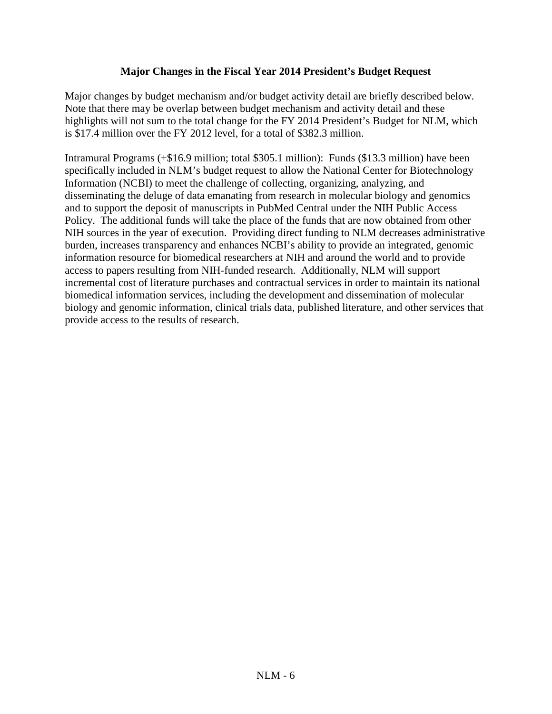### **Major Changes in the Fiscal Year 2014 President's Budget Request**

Major changes by budget mechanism and/or budget activity detail are briefly described below. Note that there may be overlap between budget mechanism and activity detail and these highlights will not sum to the total change for the FY 2014 President's Budget for NLM, which is \$17.4 million over the FY 2012 level, for a total of \$382.3 million.

Intramural Programs (+\$16.9 million; total \$305.1 million): Funds (\$13.3 million) have been specifically included in NLM's budget request to allow the National Center for Biotechnology Information (NCBI) to meet the challenge of collecting, organizing, analyzing, and disseminating the deluge of data emanating from research in molecular biology and genomics and to support the deposit of manuscripts in PubMed Central under the NIH Public Access Policy. The additional funds will take the place of the funds that are now obtained from other NIH sources in the year of execution. Providing direct funding to NLM decreases administrative burden, increases transparency and enhances NCBI's ability to provide an integrated, genomic information resource for biomedical researchers at NIH and around the world and to provide access to papers resulting from NIH-funded research. Additionally, NLM will support incremental cost of literature purchases and contractual services in order to maintain its national biomedical information services, including the development and dissemination of molecular biology and genomic information, clinical trials data, published literature, and other services that provide access to the results of research.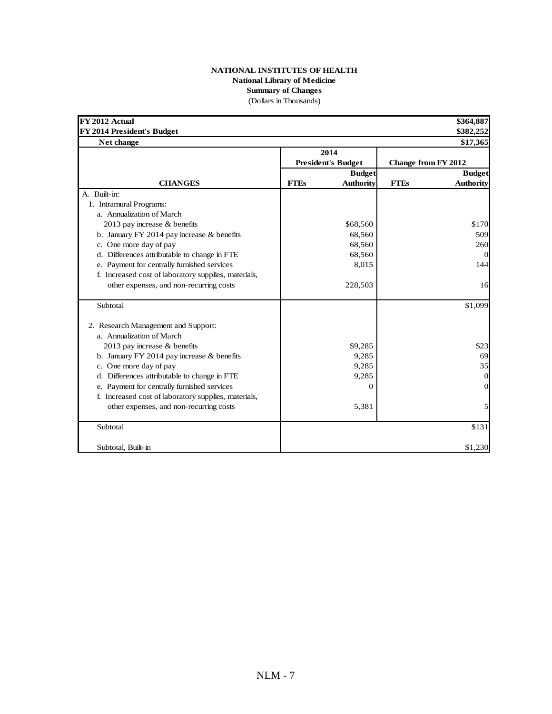#### **NATIONAL INSTITUTES OF HEALTH National Library of Medicine Summary of Changes** (Dollars in Thousands)

| FY 2012 Actual                                       |             |                           |                            | \$364,887        |
|------------------------------------------------------|-------------|---------------------------|----------------------------|------------------|
| FY 2014 President's Budget                           |             |                           |                            | \$382,252        |
| Net change                                           |             | 2014                      |                            | \$17,365         |
|                                                      |             | <b>President's Budget</b> | <b>Change from FY 2012</b> |                  |
|                                                      |             | <b>Budget</b>             |                            | <b>Budget</b>    |
| <b>CHANGES</b>                                       | <b>FTEs</b> | <b>Authority</b>          | <b>FTEs</b>                | <b>Authority</b> |
| A. Built-in:                                         |             |                           |                            |                  |
| 1. Intramural Programs:                              |             |                           |                            |                  |
| a. Annualization of March                            |             |                           |                            |                  |
| 2013 pay increase $&$ benefits                       |             | \$68,560                  |                            | \$170            |
| b. January FY 2014 pay increase $&$ benefits         |             | 68,560                    |                            | 509              |
| c. One more day of pay                               |             | 68,560                    |                            | 260              |
| d. Differences attributable to change in FTE         |             | 68,560                    |                            | $\Omega$         |
| e. Payment for centrally furnished services          |             | 8,015                     |                            | 144              |
| f. Increased cost of laboratory supplies, materials, |             |                           |                            |                  |
| other expenses, and non-recurring costs              |             | 228,503                   |                            | 16               |
| Subtotal                                             |             |                           |                            | \$1,099          |
| 2. Research Management and Support:                  |             |                           |                            |                  |
| a. Annualization of March                            |             |                           |                            |                  |
| 2013 pay increase & benefits                         |             | \$9,285                   |                            | \$23             |
| b. January FY 2014 pay increase & benefits           |             | 9,285                     |                            | 69               |
| c. One more day of pay                               |             | 9,285                     |                            | 35               |
| d. Differences attributable to change in FTE         |             | 9,285                     |                            | $\overline{0}$   |
| e. Payment for centrally furnished services          |             | 0                         |                            | $\Omega$         |
| f. Increased cost of laboratory supplies, materials, |             |                           |                            |                  |
| other expenses, and non-recurring costs              |             | 5,381                     |                            | 5                |
| Subtotal                                             |             |                           |                            | \$131            |
| Subtotal, Built-in                                   |             |                           |                            | \$1,230          |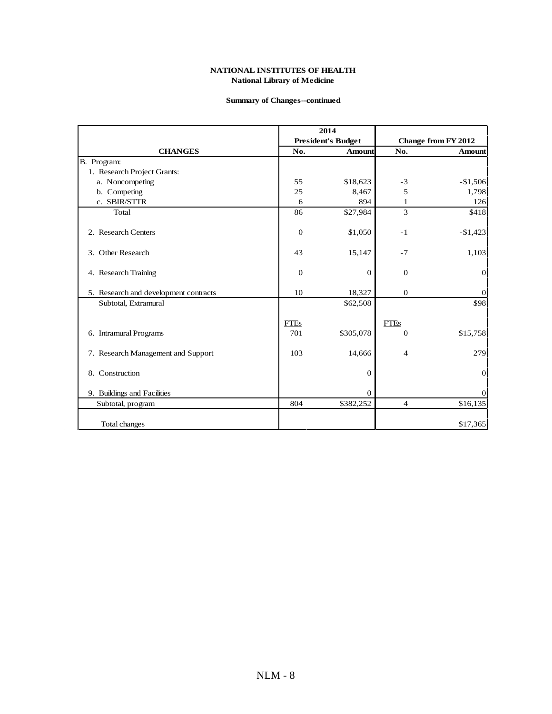#### **Summary of Changes--continued**

|                                       |                | 2014                      |                |                     |
|---------------------------------------|----------------|---------------------------|----------------|---------------------|
|                                       |                | <b>President's Budget</b> |                | Change from FY 2012 |
| <b>CHANGES</b>                        | No.            | <b>Amount</b>             | No.            | <b>Amount</b>       |
| B. Program:                           |                |                           |                |                     |
| 1. Research Project Grants:           |                |                           |                |                     |
| a. Noncompeting                       | 55             | \$18,623                  | $-3$           | $-$1,506$           |
| b. Competing                          | 25             | 8,467                     | 5              | 1,798               |
| c. SBIR/STTR                          | 6              | 894                       | 1              | 126                 |
| Total                                 | 86             | \$27,984                  | 3              | \$418               |
| 2. Research Centers                   | $\theta$       | \$1,050                   | $-1$           | $-$1,423$           |
| 3. Other Research                     | 43             | 15,147                    | $-7$           | 1,103               |
| 4. Research Training                  | $\overline{0}$ | $\theta$                  | $\Omega$       | $\theta$            |
| 5. Research and development contracts | 10             | 18,327                    | $\theta$       | $\boldsymbol{0}$    |
| Subtotal, Extramural                  |                | \$62,508                  |                | \$98                |
|                                       | <b>FTEs</b>    |                           | <b>FTEs</b>    |                     |
| 6. Intramural Programs                | 701            | \$305,078                 | $\overline{0}$ | \$15,758            |
| 7. Research Management and Support    | 103            | 14,666                    | 4              | 279                 |
| 8. Construction                       |                | $\overline{0}$            |                | $\mathbf 0$         |
| 9. Buildings and Facilities           |                | $\Omega$                  |                | $\boldsymbol{0}$    |
| Subtotal, program                     | 804            | \$382,252                 | $\overline{4}$ | \$16,135            |
| Total changes                         |                |                           |                | \$17,365            |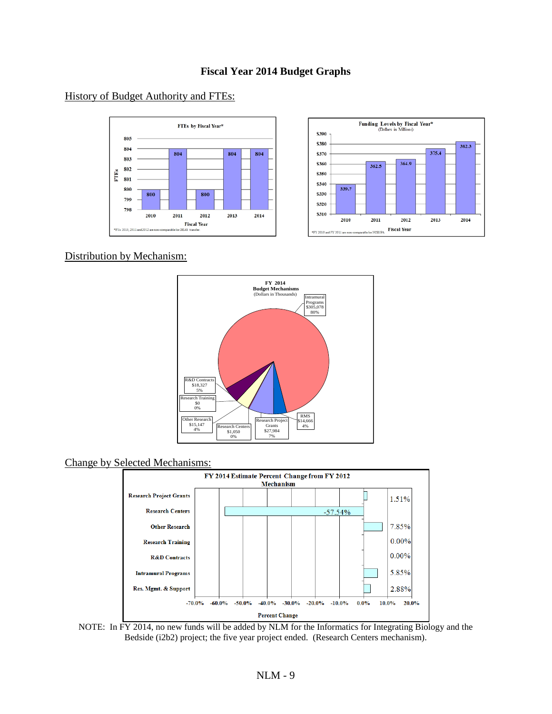### **Fiscal Year 2014 Budget Graphs**

### History of Budget Authority and FTEs:



Distribution by Mechanism:



Change by Selected Mechanisms:



NOTE: In FY 2014, no new funds will be added by NLM for the Informatics for Integrating Biology and the Bedside (i2b2) project; the five year project ended. (Research Centers mechanism).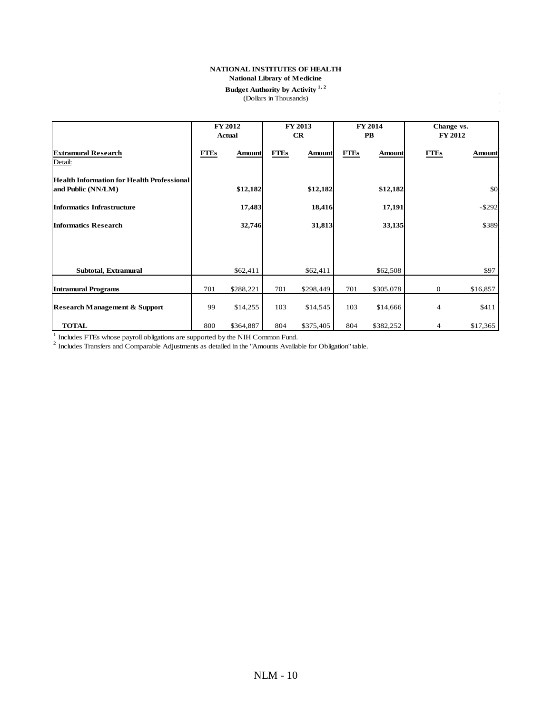#### **NATIONAL INSTITUTES OF HEALTH**

#### **National Library of Medicine**

#### **Budget Authority by Activity 1, 2** (Dollars in Thousands)

|                                                                         |             | <b>FY 2012</b><br><b>Actual</b> |             | FY 2013<br>CR |             | <b>FY 2014</b><br>$\mathbf{PB}$ |                  | Change vs.<br>FY 2012 |
|-------------------------------------------------------------------------|-------------|---------------------------------|-------------|---------------|-------------|---------------------------------|------------------|-----------------------|
| <b>Extramural Research</b><br>Detail:                                   | <b>FTEs</b> | <b>Amount</b>                   | <b>FTEs</b> | <b>Amount</b> | <b>FTEs</b> | <b>Amount</b>                   | <b>FTEs</b>      | Amount                |
| <b>Health Information for Health Professional</b><br>and Public (NN/LM) |             | \$12,182                        |             | \$12,182      |             | \$12,182                        |                  | \$0                   |
| <b>Informatics Infrastructure</b>                                       |             | 17,483                          |             | 18,416        |             | 17,191                          |                  | $-$ \$292             |
| <b>Informatics Research</b>                                             |             | 32,746                          |             | 31,813        |             | 33,135                          |                  | \$389                 |
|                                                                         |             |                                 |             |               |             |                                 |                  |                       |
| Subtotal, Extramural                                                    |             | \$62,411                        |             | \$62,411      |             | \$62,508                        |                  | \$97                  |
| <b>Intramural Programs</b>                                              | 701         | \$288,221                       | 701         | \$298,449     | 701         | \$305,078                       | $\boldsymbol{0}$ | \$16,857              |
| <b>Research Management &amp; Support</b>                                | 99          | \$14,255                        | 103         | \$14,545      | 103         | \$14,666                        | $\overline{4}$   | \$411                 |
| <b>TOTAL</b>                                                            | 800         | \$364,887                       | 804         | \$375,405     | 804         | \$382,252                       | 4                | \$17,365              |

 $^1$  Includes FTEs whose payroll obligations are supported by the NIH Common Fund.<br><sup>2</sup> Includes Transfers and Comparable Adjustments as detailed in the "Amounts Available for Obligation" table.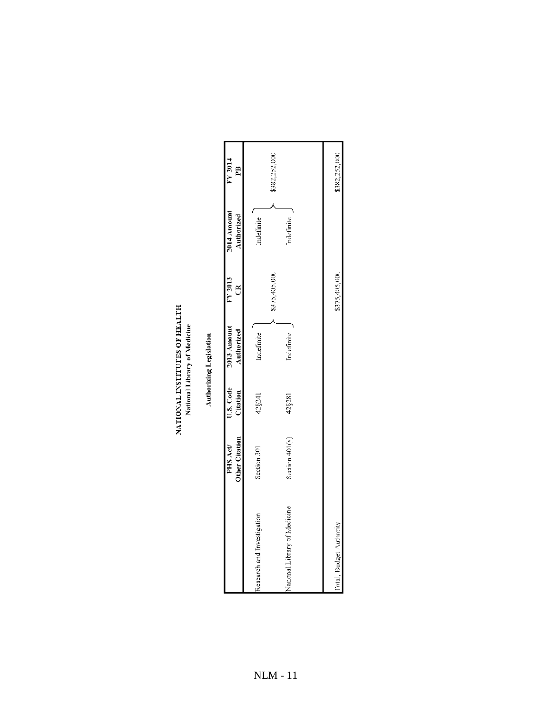**Authorizing Legislation** 

| Section 401(a)<br>Section 301<br>National Library of Medicine<br>Research and Investigation | 42 § 28 1<br>1758241 | Indefinite | \$375,405,000 | Indefinite |               |
|---------------------------------------------------------------------------------------------|----------------------|------------|---------------|------------|---------------|
|                                                                                             |                      |            |               |            |               |
|                                                                                             |                      | Indefinite |               | Indefinite | \$382,252,000 |
| Total, Budget Authority                                                                     |                      |            | \$375,405,000 |            | \$382,252,000 |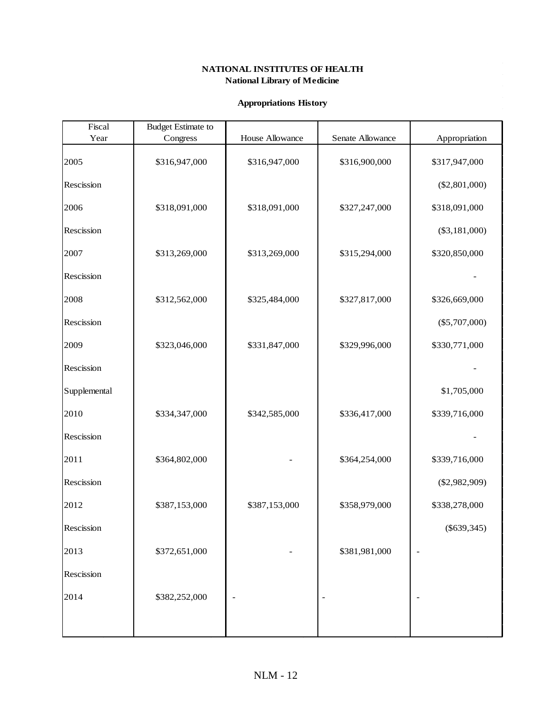### **Appropriations History**

| Fiscal       | <b>Budget Estimate to</b> |                 |                  |                 |
|--------------|---------------------------|-----------------|------------------|-----------------|
| Year         | Congress                  | House Allowance | Senate Allowance | Appropriation   |
| 2005         | \$316,947,000             | \$316,947,000   | \$316,900,000    | \$317,947,000   |
| Rescission   |                           |                 |                  | $(\$2,801,000)$ |
| 2006         | \$318,091,000             | \$318,091,000   | \$327,247,000    | \$318,091,000   |
| Rescission   |                           |                 |                  | $(\$3,181,000)$ |
| 2007         | \$313,269,000             | \$313,269,000   | \$315,294,000    | \$320,850,000   |
| Rescission   |                           |                 |                  |                 |
| 2008         | \$312,562,000             | \$325,484,000   | \$327,817,000    | \$326,669,000   |
| Rescission   |                           |                 |                  | $(\$5,707,000)$ |
| 2009         | \$323,046,000             | \$331,847,000   | \$329,996,000    | \$330,771,000   |
| Rescission   |                           |                 |                  |                 |
| Supplemental |                           |                 |                  | \$1,705,000     |
| 2010         | \$334,347,000             | \$342,585,000   | \$336,417,000    | \$339,716,000   |
| Rescission   |                           |                 |                  |                 |
| 2011         | \$364,802,000             |                 | \$364,254,000    | \$339,716,000   |
| Rescission   |                           |                 |                  | $(\$2,982,909)$ |
| 2012         | \$387,153,000             | \$387,153,000   | \$358,979,000    | \$338,278,000   |
| Rescission   |                           |                 |                  | $(\$639,345)$   |
| 2013         | \$372,651,000             |                 | \$381,981,000    |                 |
| Rescission   |                           |                 |                  |                 |
| 2014         | \$382,252,000             |                 |                  |                 |
|              |                           |                 |                  |                 |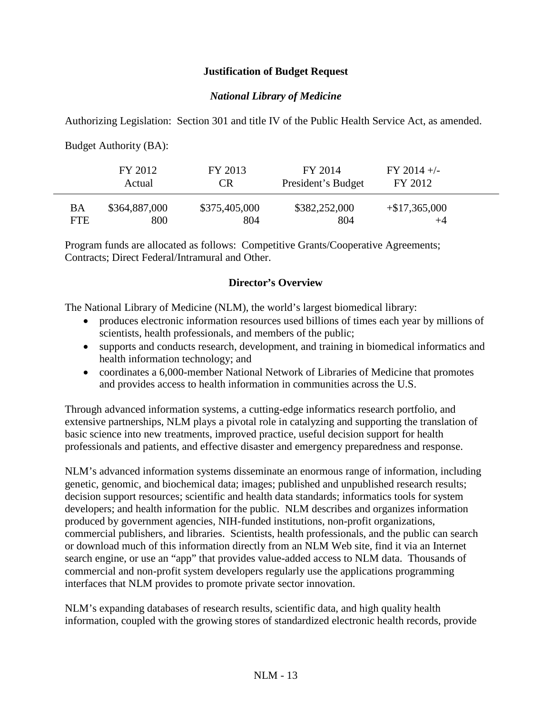## **Justification of Budget Request**

## *National Library of Medicine*

Authorizing Legislation: Section 301 and title IV of the Public Health Service Act, as amended.

Budget Authority (BA):

|      | FY 2012<br>Actual | FY 2013<br>CR | FY 2014<br>President's Budget | $FY$ 2014 +/-<br>FY 2012 |  |
|------|-------------------|---------------|-------------------------------|--------------------------|--|
| BA   | \$364,887,000     | \$375,405,000 | \$382,252,000                 | $+\$17,365,000$          |  |
| FTE. | 800               | 804           | 804                           | $+4$                     |  |

Program funds are allocated as follows: Competitive Grants/Cooperative Agreements; Contracts; Direct Federal/Intramural and Other.

## **Director's Overview**

The National Library of Medicine (NLM), the world's largest biomedical library:

- produces electronic information resources used billions of times each year by millions of scientists, health professionals, and members of the public;
- supports and conducts research, development, and training in biomedical informatics and health information technology; and
- coordinates a 6,000-member National Network of Libraries of Medicine that promotes and provides access to health information in communities across the U.S.

Through advanced information systems, a cutting-edge informatics research portfolio, and extensive partnerships, NLM plays a pivotal role in catalyzing and supporting the translation of basic science into new treatments, improved practice, useful decision support for health professionals and patients, and effective disaster and emergency preparedness and response.

NLM's advanced information systems disseminate an enormous range of information, including genetic, genomic, and biochemical data; images; published and unpublished research results; decision support resources; scientific and health data standards; informatics tools for system developers; and health information for the public. NLM describes and organizes information produced by government agencies, NIH-funded institutions, non-profit organizations, commercial publishers, and libraries. Scientists, health professionals, and the public can search or download much of this information directly from an NLM Web site, find it via an Internet search engine, or use an "app" that provides value-added access to NLM data. Thousands of commercial and non-profit system developers regularly use the applications programming interfaces that NLM provides to promote private sector innovation.

NLM's expanding databases of research results, scientific data, and high quality health information, coupled with the growing stores of standardized electronic health records, provide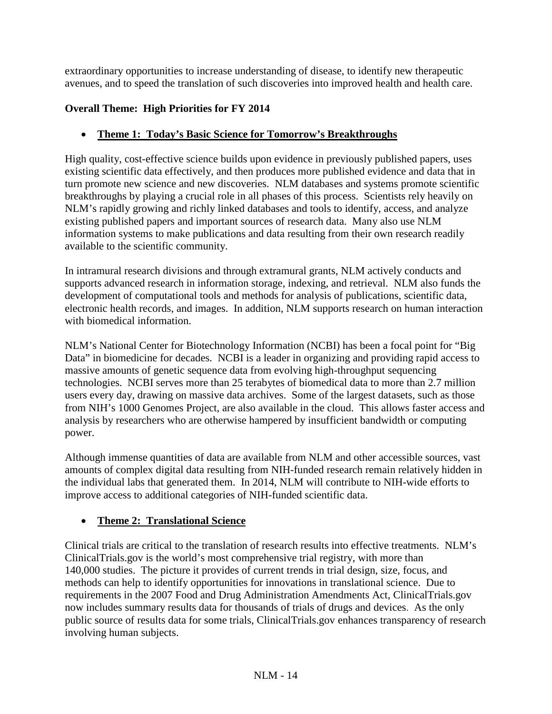extraordinary opportunities to increase understanding of disease, to identify new therapeutic avenues, and to speed the translation of such discoveries into improved health and health care.

# **Overall Theme: High Priorities for FY 2014**

# • **Theme 1: Today's Basic Science for Tomorrow's Breakthroughs**

High quality, cost-effective science builds upon evidence in previously published papers, uses existing scientific data effectively, and then produces more published evidence and data that in turn promote new science and new discoveries. NLM databases and systems promote scientific breakthroughs by playing a crucial role in all phases of this process. Scientists rely heavily on NLM's rapidly growing and richly linked databases and tools to identify, access, and analyze existing published papers and important sources of research data. Many also use NLM information systems to make publications and data resulting from their own research readily available to the scientific community.

In intramural research divisions and through extramural grants, NLM actively conducts and supports advanced research in information storage, indexing, and retrieval. NLM also funds the development of computational tools and methods for analysis of publications, scientific data, electronic health records, and images. In addition, NLM supports research on human interaction with biomedical information.

NLM's National Center for Biotechnology Information (NCBI) has been a focal point for "Big Data" in biomedicine for decades. NCBI is a leader in organizing and providing rapid access to massive amounts of genetic sequence data from evolving high-throughput sequencing technologies. NCBI serves more than 25 terabytes of biomedical data to more than 2.7 million users every day, drawing on massive data archives. Some of the largest datasets, such as those from NIH's 1000 Genomes Project, are also available in the cloud. This allows faster access and analysis by researchers who are otherwise hampered by insufficient bandwidth or computing power.

Although immense quantities of data are available from NLM and other accessible sources, vast amounts of complex digital data resulting from NIH-funded research remain relatively hidden in the individual labs that generated them. In 2014, NLM will contribute to NIH-wide efforts to improve access to additional categories of NIH-funded scientific data.

# • **Theme 2: Translational Science**

Clinical trials are critical to the translation of research results into effective treatments. NLM's ClinicalTrials.gov is the world's most comprehensive trial registry, with more than 140,000 studies. The picture it provides of current trends in trial design, size, focus, and methods can help to identify opportunities for innovations in translational science. Due to requirements in the 2007 Food and Drug Administration Amendments Act, ClinicalTrials.gov now includes summary results data for thousands of trials of drugs and devices. As the only public source of results data for some trials, ClinicalTrials.gov enhances transparency of research involving human subjects.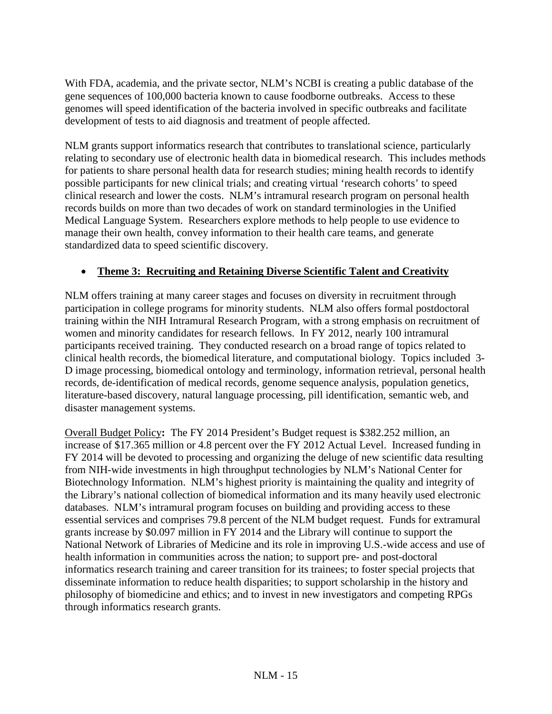With FDA, academia, and the private sector, NLM's NCBI is creating a public database of the gene sequences of 100,000 bacteria known to cause foodborne outbreaks. Access to these genomes will speed identification of the bacteria involved in specific outbreaks and facilitate development of tests to aid diagnosis and treatment of people affected.

NLM grants support informatics research that contributes to translational science, particularly relating to secondary use of electronic health data in biomedical research. This includes methods for patients to share personal health data for research studies; mining health records to identify possible participants for new clinical trials; and creating virtual 'research cohorts' to speed clinical research and lower the costs. NLM's intramural research program on personal health records builds on more than two decades of work on standard terminologies in the Unified Medical Language System. Researchers explore methods to help people to use evidence to manage their own health, convey information to their health care teams, and generate standardized data to speed scientific discovery.

# • **Theme 3: Recruiting and Retaining Diverse Scientific Talent and Creativity**

NLM offers training at many career stages and focuses on diversity in recruitment through participation in college programs for minority students. NLM also offers formal postdoctoral training within the NIH Intramural Research Program, with a strong emphasis on recruitment of women and minority candidates for research fellows. In FY 2012, nearly 100 intramural participants received training. They conducted research on a broad range of topics related to clinical health records, the biomedical literature, and computational biology. Topics included 3- D image processing, biomedical ontology and terminology, information retrieval, personal health records, de-identification of medical records, genome sequence analysis, population genetics, literature-based discovery, natural language processing, pill identification, semantic web, and disaster management systems.

Overall Budget Policy**:** The FY 2014 President's Budget request is \$382.252 million, an increase of \$17.365 million or 4.8 percent over the FY 2012 Actual Level. Increased funding in FY 2014 will be devoted to processing and organizing the deluge of new scientific data resulting from NIH-wide investments in high throughput technologies by NLM's National Center for Biotechnology Information. NLM's highest priority is maintaining the quality and integrity of the Library's national collection of biomedical information and its many heavily used electronic databases. NLM's intramural program focuses on building and providing access to these essential services and comprises 79.8 percent of the NLM budget request. Funds for extramural grants increase by \$0.097 million in FY 2014 and the Library will continue to support the National Network of Libraries of Medicine and its role in improving U.S.-wide access and use of health information in communities across the nation; to support pre- and post-doctoral informatics research training and career transition for its trainees; to foster special projects that disseminate information to reduce health disparities; to support scholarship in the history and philosophy of biomedicine and ethics; and to invest in new investigators and competing RPGs through informatics research grants.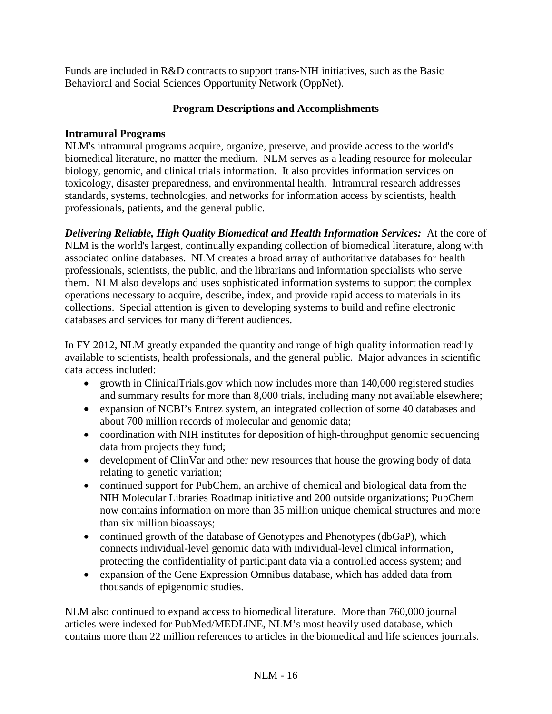Funds are included in R&D contracts to support trans-NIH initiatives, such as the Basic Behavioral and Social Sciences Opportunity Network (OppNet).

## **Program Descriptions and Accomplishments**

## **Intramural Programs**

NLM's intramural programs acquire, organize, preserve, and provide access to the world's biomedical literature, no matter the medium. NLM serves as a leading resource for molecular biology, genomic, and clinical trials information. It also provides information services on toxicology, disaster preparedness, and environmental health. Intramural research addresses standards, systems, technologies, and networks for information access by scientists, health professionals, patients, and the general public.

*Delivering Reliable, High Quality Biomedical and Health Information Services:*At the core of NLM is the world's largest, continually expanding collection of biomedical literature, along with associated online databases. NLM creates a broad array of authoritative databases for health professionals, scientists, the public, and the librarians and information specialists who serve them. NLM also develops and uses sophisticated information systems to support the complex operations necessary to acquire, describe, index, and provide rapid access to materials in its collections. Special attention is given to developing systems to build and refine electronic databases and services for many different audiences.

In FY 2012, NLM greatly expanded the quantity and range of high quality information readily available to scientists, health professionals, and the general public. Major advances in scientific data access included:

- growth in ClinicalTrials.gov which now includes more than 140,000 registered studies and summary results for more than 8,000 trials, including many not available elsewhere;
- expansion of NCBI's Entrez system, an integrated collection of some 40 databases and about 700 million records of molecular and genomic data;
- coordination with NIH institutes for deposition of high-throughput genomic sequencing data from projects they fund;
- development of ClinVar and other new resources that house the growing body of data relating to genetic variation;
- continued support for PubChem, an archive of chemical and biological data from the NIH Molecular Libraries Roadmap initiative and 200 outside organizations; PubChem now contains information on more than 35 million unique chemical structures and more than six million bioassays;
- continued growth of the database of Genotypes and Phenotypes (dbGaP), which connects individual-level genomic data with individual-level clinical information, protecting the confidentiality of participant data via a controlled access system; and
- expansion of the Gene Expression Omnibus database, which has added data from thousands of epigenomic studies.

NLM also continued to expand access to biomedical literature. More than 760,000 journal articles were indexed for PubMed/MEDLINE, NLM's most heavily used database, which contains more than 22 million references to articles in the biomedical and life sciences journals.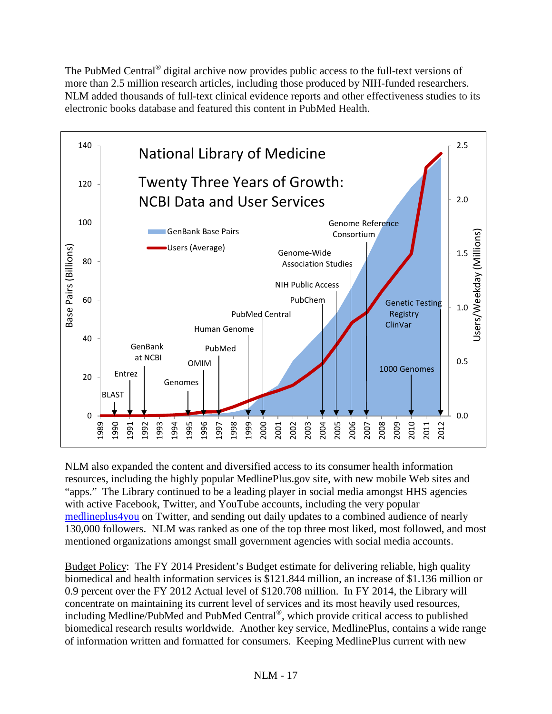The PubMed Central<sup>®</sup> digital archive now provides public access to the full-text versions of more than 2.5 million research articles, including those produced by NIH-funded researchers. NLM added thousands of full-text clinical evidence reports and other effectiveness studies to its electronic books database and featured this content in PubMed Health.



NLM also expanded the content and diversified access to its consumer health information resources, including the highly popular MedlinePlus.gov site, with new mobile Web sites and "apps." The Library continued to be a leading player in social media amongst HHS agencies with active Facebook, Twitter, and YouTube accounts, including the very popular [medlineplus4you](http://twitter.com/medlineplus4you) on Twitter, and sending out daily updates to a combined audience of nearly 130,000 followers. NLM was ranked as one of the top three most liked, most followed, and most mentioned organizations amongst small government agencies with social media accounts.

Budget Policy: The FY 2014 President's Budget estimate for delivering reliable, high quality biomedical and health information services is \$121.844 million, an increase of \$1.136 million or 0.9 percent over the FY 2012 Actual level of \$120.708 million. In FY 2014, the Library will concentrate on maintaining its current level of services and its most heavily used resources, including Medline/PubMed and PubMed Central®, which provide critical access to published biomedical research results worldwide. Another key service, MedlinePlus, contains a wide range of information written and formatted for consumers. Keeping MedlinePlus current with new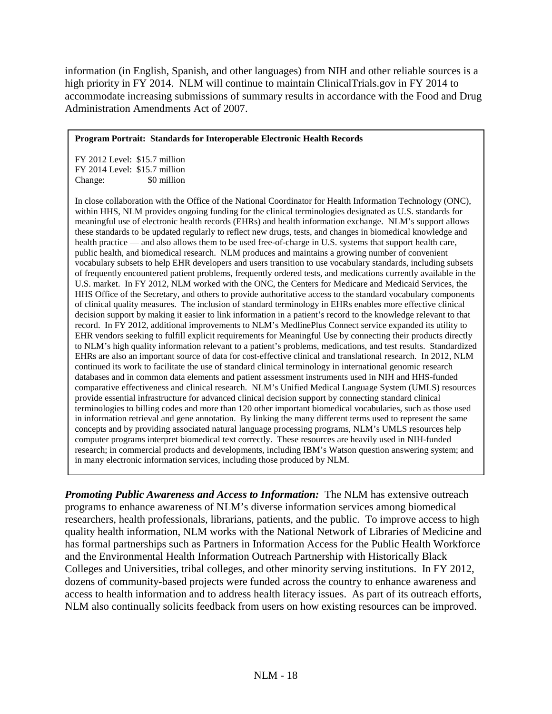information (in English, Spanish, and other languages) from NIH and other reliable sources is a high priority in FY 2014. NLM will continue to maintain ClinicalTrials.gov in FY 2014 to accommodate increasing submissions of summary results in accordance with the Food and Drug Administration Amendments Act of 2007.

### **Program Portrait: Standards for Interoperable Electronic Health Records**

FY 2012 Level: \$15.7 million FY 2014 Level: \$15.7 million Change: \$0 million

In close collaboration with the Office of the National Coordinator for Health Information Technology (ONC), within HHS, NLM provides ongoing funding for the clinical terminologies designated as U.S. standards for meaningful use of electronic health records (EHRs) and health information exchange. NLM's support allows these standards to be updated regularly to reflect new drugs, tests, and changes in biomedical knowledge and health practice — and also allows them to be used free-of-charge in U.S. systems that support health care, public health, and biomedical research. NLM produces and maintains a growing number of convenient vocabulary subsets to help EHR developers and users transition to use vocabulary standards, including subsets of frequently encountered patient problems, frequently ordered tests, and medications currently available in the U.S. market. In FY 2012, NLM worked with the ONC, the Centers for Medicare and Medicaid Services, the HHS Office of the Secretary, and others to provide authoritative access to the standard vocabulary components of clinical quality measures. The inclusion of standard terminology in EHRs enables more effective clinical decision support by making it easier to link information in a patient's record to the knowledge relevant to that record. In FY 2012, additional improvements to NLM's MedlinePlus Connect service expanded its utility to EHR vendors seeking to fulfill explicit requirements for Meaningful Use by connecting their products directly to NLM's high quality information relevant to a patient's problems, medications, and test results. Standardized EHRs are also an important source of data for cost-effective clinical and translational research. In 2012, NLM continued its work to facilitate the use of standard clinical terminology in international genomic research databases and in common data elements and patient assessment instruments used in NIH and HHS-funded comparative effectiveness and clinical research. NLM's Unified Medical Language System (UMLS) resources provide essential infrastructure for advanced clinical decision support by connecting standard clinical terminologies to billing codes and more than 120 other important biomedical vocabularies, such as those used in information retrieval and gene annotation. By linking the many different terms used to represent the same concepts and by providing associated natural language processing programs, NLM's UMLS resources help computer programs interpret biomedical text correctly. These resources are heavily used in NIH-funded research; in commercial products and developments, including IBM's Watson question answering system; and in many electronic information services, including those produced by NLM.

*Promoting Public Awareness and Access to Information:* The NLM has extensive outreach programs to enhance awareness of NLM's diverse information services among biomedical researchers, health professionals, librarians, patients, and the public. To improve access to high quality health information, NLM works with the National Network of Libraries of Medicine and has formal partnerships such as Partners in Information Access for the Public Health Workforce and the Environmental Health Information Outreach Partnership with Historically Black Colleges and Universities, tribal colleges, and other minority serving institutions. In FY 2012, dozens of community-based projects were funded across the country to enhance awareness and access to health information and to address health literacy issues. As part of its outreach efforts, NLM also continually solicits feedback from users on how existing resources can be improved.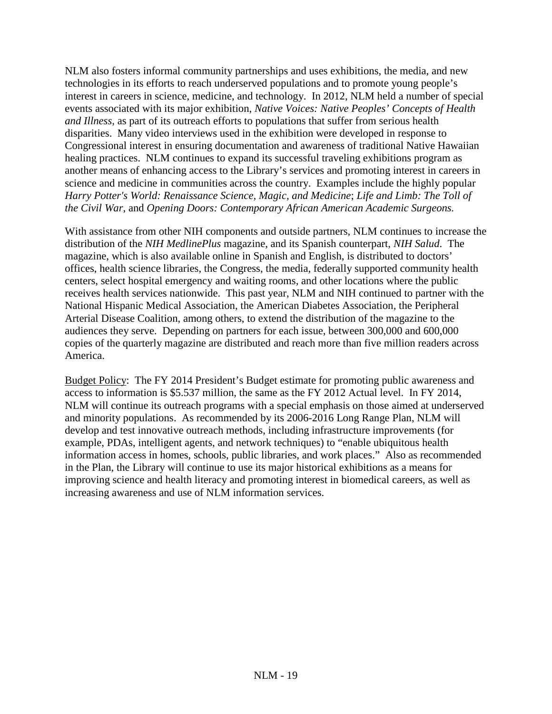NLM also fosters informal community partnerships and uses exhibitions, the media, and new technologies in its efforts to reach underserved populations and to promote young people's interest in careers in science, medicine, and technology. In 2012, NLM held a number of special events associated with its major exhibition, *Native Voices: Native Peoples' Concepts of Health and Illness,* as part of its outreach efforts to populations that suffer from serious health disparities. Many video interviews used in the exhibition were developed in response to Congressional interest in ensuring documentation and awareness of traditional Native Hawaiian healing practices. NLM continues to expand its successful traveling exhibitions program as another means of enhancing access to the Library's services and promoting interest in careers in science and medicine in communities across the country. Examples include the highly popular *Harry Potter's World: Renaissance Science, Magic, and Medicine*; *Life and Limb: The Toll of the Civil War,* and *Opening Doors: Contemporary African American Academic Surgeons.*

With assistance from other NIH components and outside partners, NLM continues to increase the distribution of the *NIH MedlinePlus* magazine, and its Spanish counterpart, *NIH Salud*. The magazine, which is also available online in Spanish and English, is distributed to doctors' offices, health science libraries, the Congress, the media, federally supported community health centers, select hospital emergency and waiting rooms, and other locations where the public receives health services nationwide. This past year, NLM and NIH continued to partner with the National Hispanic Medical Association, the American Diabetes Association, the Peripheral Arterial Disease Coalition, among others, to extend the distribution of the magazine to the audiences they serve. Depending on partners for each issue, between 300,000 and 600,000 copies of the quarterly magazine are distributed and reach more than five million readers across America.

Budget Policy: The FY 2014 President's Budget estimate for promoting public awareness and access to information is \$5.537 million, the same as the FY 2012 Actual level. In FY 2014, NLM will continue its outreach programs with a special emphasis on those aimed at underserved and minority populations. As recommended by its 2006-2016 Long Range Plan, NLM will develop and test innovative outreach methods, including infrastructure improvements (for example, PDAs, intelligent agents, and network techniques) to "enable ubiquitous health information access in homes, schools, public libraries, and work places." Also as recommended in the Plan, the Library will continue to use its major historical exhibitions as a means for improving science and health literacy and promoting interest in biomedical careers, as well as increasing awareness and use of NLM information services.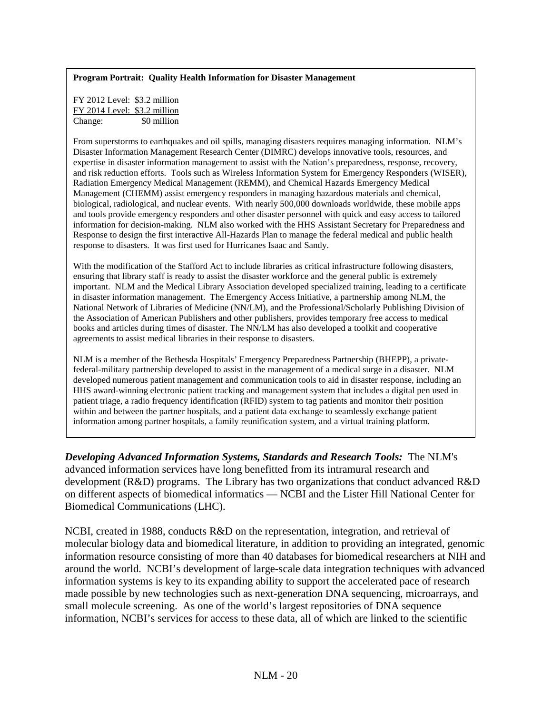### **Program Portrait: Quality Health Information for Disaster Management**

FY 2012 Level: \$3.2 million FY 2014 Level: \$3.2 million Change: \$0 million

From superstorms to earthquakes and oil spills, managing disasters requires managing information. NLM's Disaster Information Management Research Center (DIMRC) develops innovative tools, resources, and expertise in disaster information management to assist with the Nation's preparedness, response, recovery, and risk reduction efforts. Tools such as Wireless Information System for Emergency Responders (WISER), Radiation Emergency Medical Management (REMM), and Chemical Hazards Emergency Medical Management (CHEMM) assist emergency responders in managing hazardous materials and chemical, biological, radiological, and nuclear events. With nearly 500,000 downloads worldwide, these mobile apps and tools provide emergency responders and other disaster personnel with quick and easy access to tailored information for decision-making. NLM also worked with the HHS Assistant Secretary for Preparedness and Response to design the first interactive All-Hazards Plan to manage the federal medical and public health response to disasters. It was first used for Hurricanes Isaac and Sandy.

With the modification of the Stafford Act to include libraries as critical infrastructure following disasters, ensuring that library staff is ready to assist the disaster workforce and the general public is extremely important. NLM and the Medical Library Association developed specialized training, leading to a certificate in disaster information management. The Emergency Access Initiative, a partnership among NLM, the National Network of Libraries of Medicine (NN/LM), and the Professional/Scholarly Publishing Division of the Association of American Publishers and other publishers, provides temporary free access to medical books and articles during times of disaster. The NN/LM has also developed a toolkit and cooperative agreements to assist medical libraries in their response to disasters.

NLM is a member of the Bethesda Hospitals' Emergency Preparedness Partnership (BHEPP), a privatefederal-military partnership developed to assist in the management of a medical surge in a disaster. NLM developed numerous patient management and communication tools to aid in disaster response, including an HHS award-winning electronic patient tracking and management system that includes a digital pen used in patient triage, a radio frequency identification (RFID) system to tag patients and monitor their position within and between the partner hospitals, and a patient data exchange to seamlessly exchange patient information among partner hospitals, a family reunification system, and a virtual training platform.

*Developing Advanced Information Systems, Standards and Research Tools:*The NLM's advanced information services have long benefitted from its intramural research and development (R&D) programs. The Library has two organizations that conduct advanced R&D on different aspects of biomedical informatics — NCBI and the Lister Hill National Center for Biomedical Communications (LHC).

NCBI, created in 1988, conducts R&D on the representation, integration, and retrieval of molecular biology data and biomedical literature, in addition to providing an integrated, genomic information resource consisting of more than 40 databases for biomedical researchers at NIH and around the world. NCBI's development of large-scale data integration techniques with advanced information systems is key to its expanding ability to support the accelerated pace of research made possible by new technologies such as next-generation DNA sequencing, microarrays, and small molecule screening. As one of the world's largest repositories of DNA sequence information, NCBI's services for access to these data, all of which are linked to the scientific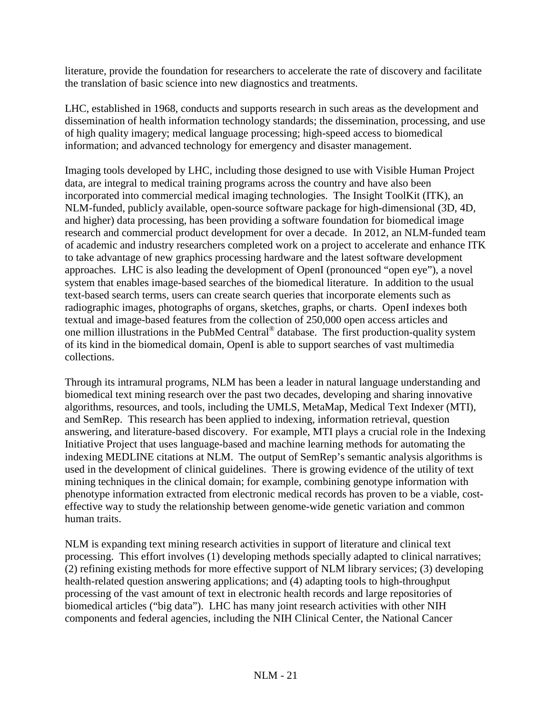literature, provide the foundation for researchers to accelerate the rate of discovery and facilitate the translation of basic science into new diagnostics and treatments.

LHC, established in 1968, conducts and supports research in such areas as the development and dissemination of health information technology standards; the dissemination, processing, and use of high quality imagery; medical language processing; high-speed access to biomedical information; and advanced technology for emergency and disaster management.

Imaging tools developed by LHC, including those designed to use with Visible Human Project data, are integral to medical training programs across the country and have also been incorporated into commercial medical imaging technologies. The Insight ToolKit (ITK), an NLM-funded, publicly available, open-source software package for high-dimensional (3D, 4D, and higher) data processing, has been providing a software foundation for biomedical image research and commercial product development for over a decade. In 2012, an NLM-funded team of academic and industry researchers completed work on a project to accelerate and enhance ITK to take advantage of new graphics processing hardware and the latest software development approaches. LHC is also leading the development of OpenI (pronounced "open eye"), a novel system that enables image-based searches of the biomedical literature. In addition to the usual text-based search terms, users can create search queries that incorporate elements such as radiographic images, photographs of organs, sketches, graphs, or charts. OpenI indexes both textual and image-based features from the collection of 250,000 open access articles and one million illustrations in the PubMed Central® database. The first production-quality system of its kind in the biomedical domain, OpenI is able to support searches of vast multimedia collections.

Through its intramural programs, NLM has been a leader in natural language understanding and biomedical text mining research over the past two decades, developing and sharing innovative algorithms, resources, and tools, including the UMLS, MetaMap, Medical Text Indexer (MTI), and SemRep. This research has been applied to indexing, information retrieval, question answering, and literature-based discovery. For example, MTI plays a crucial role in the Indexing Initiative Project that uses language-based and machine learning methods for automating the indexing MEDLINE citations at NLM. The output of SemRep's semantic analysis algorithms is used in the development of clinical guidelines. There is growing evidence of the utility of text mining techniques in the clinical domain; for example, combining genotype information with phenotype information extracted from electronic medical records has proven to be a viable, costeffective way to study the relationship between genome-wide genetic variation and common human traits.

NLM is expanding text mining research activities in support of literature and clinical text processing. This effort involves (1) developing methods specially adapted to clinical narratives; (2) refining existing methods for more effective support of NLM library services; (3) developing health-related question answering applications; and (4) adapting tools to high-throughput processing of the vast amount of text in electronic health records and large repositories of biomedical articles ("big data"). LHC has many joint research activities with other NIH components and federal agencies, including the NIH Clinical Center, the National Cancer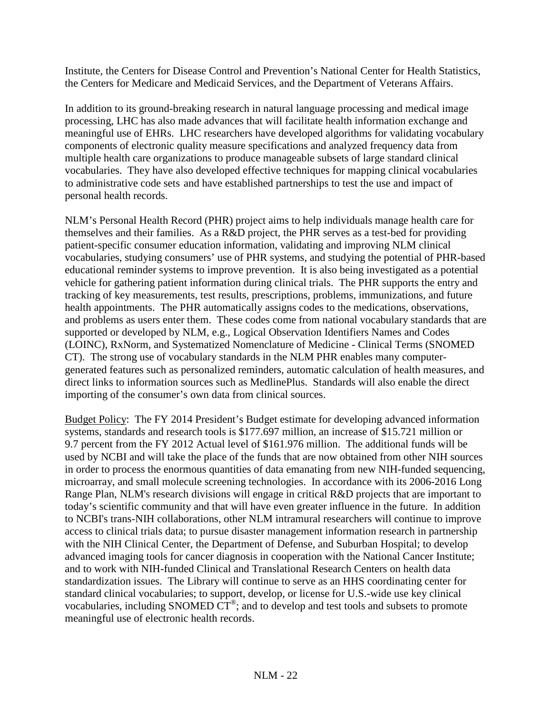Institute, the Centers for Disease Control and Prevention's National Center for Health Statistics, the Centers for Medicare and Medicaid Services, and the Department of Veterans Affairs.

In addition to its ground-breaking research in natural language processing and medical image processing, LHC has also made advances that will facilitate health information exchange and meaningful use of EHRs. LHC researchers have developed algorithms for validating vocabulary components of electronic quality measure specifications and analyzed frequency data from multiple health care organizations to produce manageable subsets of large standard clinical vocabularies. They have also developed effective techniques for mapping clinical vocabularies to administrative code sets and have established partnerships to test the use and impact of personal health records.

NLM's Personal Health Record (PHR) project aims to help individuals manage health care for themselves and their families. As a R&D project, the PHR serves as a test-bed for providing patient-specific consumer education information, validating and improving NLM clinical vocabularies, studying consumers' use of PHR systems, and studying the potential of PHR-based educational reminder systems to improve prevention. It is also being investigated as a potential vehicle for gathering patient information during clinical trials. The PHR supports the entry and tracking of key measurements, test results, prescriptions, problems, immunizations, and future health appointments. The PHR automatically assigns codes to the medications, observations, and problems as users enter them. These codes come from national vocabulary standards that are supported or developed by NLM, e.g., Logical Observation Identifiers Names and Codes (LOINC), RxNorm, and Systematized Nomenclature of Medicine - Clinical Terms (SNOMED CT). The strong use of vocabulary standards in the NLM PHR enables many computergenerated features such as personalized reminders, automatic calculation of health measures, and direct links to information sources such as MedlinePlus. Standards will also enable the direct importing of the consumer's own data from clinical sources.

Budget Policy: The FY 2014 President's Budget estimate for developing advanced information systems, standards and research tools is \$177.697 million, an increase of \$15.721 million or 9.7 percent from the FY 2012 Actual level of \$161.976 million. The additional funds will be used by NCBI and will take the place of the funds that are now obtained from other NIH sources in order to process the enormous quantities of data emanating from new NIH-funded sequencing, microarray, and small molecule screening technologies. In accordance with its 2006-2016 Long Range Plan, NLM's research divisions will engage in critical R&D projects that are important to today's scientific community and that will have even greater influence in the future. In addition to NCBI's trans-NIH collaborations, other NLM intramural researchers will continue to improve access to clinical trials data; to pursue disaster management information research in partnership with the NIH Clinical Center, the Department of Defense, and Suburban Hospital; to develop advanced imaging tools for cancer diagnosis in cooperation with the National Cancer Institute; and to work with NIH-funded Clinical and Translational Research Centers on health data standardization issues. The Library will continue to serve as an HHS coordinating center for standard clinical vocabularies; to support, develop, or license for U.S.-wide use key clinical vocabularies, including SNOMED CT®; and to develop and test tools and subsets to promote meaningful use of electronic health records.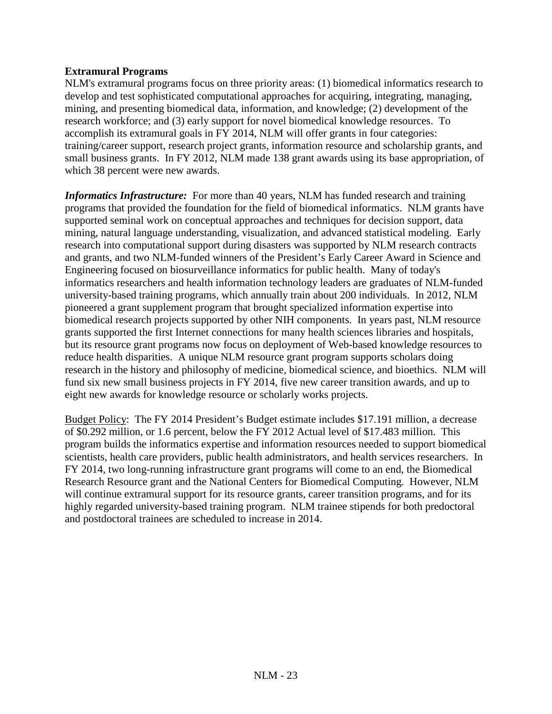## **Extramural Programs**

NLM's extramural programs focus on three priority areas: (1) biomedical informatics research to develop and test sophisticated computational approaches for acquiring, integrating, managing, mining, and presenting biomedical data, information, and knowledge; (2) development of the research workforce; and (3) early support for novel biomedical knowledge resources. To accomplish its extramural goals in FY 2014, NLM will offer grants in four categories: training/career support, research project grants, information resource and scholarship grants, and small business grants. In FY 2012, NLM made 138 grant awards using its base appropriation, of which 38 percent were new awards.

*Informatics Infrastructure:* For more than 40 years, NLM has funded research and training programs that provided the foundation for the field of biomedical informatics. NLM grants have supported seminal work on conceptual approaches and techniques for decision support, data mining, natural language understanding, visualization, and advanced statistical modeling. Early research into computational support during disasters was supported by NLM research contracts and grants, and two NLM-funded winners of the President's Early Career Award in Science and Engineering focused on biosurveillance informatics for public health. Many of today's informatics researchers and health information technology leaders are graduates of NLM-funded university-based training programs, which annually train about 200 individuals. In 2012, NLM pioneered a grant supplement program that brought specialized information expertise into biomedical research projects supported by other NIH components. In years past, NLM resource grants supported the first Internet connections for many health sciences libraries and hospitals, but its resource grant programs now focus on deployment of Web-based knowledge resources to reduce health disparities. A unique NLM resource grant program supports scholars doing research in the history and philosophy of medicine, biomedical science, and bioethics. NLM will fund six new small business projects in FY 2014, five new career transition awards, and up to eight new awards for knowledge resource or scholarly works projects.

Budget Policy: The FY 2014 President's Budget estimate includes \$17.191 million, a decrease of \$0.292 million, or 1.6 percent, below the FY 2012 Actual level of \$17.483 million. This program builds the informatics expertise and information resources needed to support biomedical scientists, health care providers, public health administrators, and health services researchers. In FY 2014, two long-running infrastructure grant programs will come to an end, the Biomedical Research Resource grant and the National Centers for Biomedical Computing. However, NLM will continue extramural support for its resource grants, career transition programs, and for its highly regarded university-based training program. NLM trainee stipends for both predoctoral and postdoctoral trainees are scheduled to increase in 2014.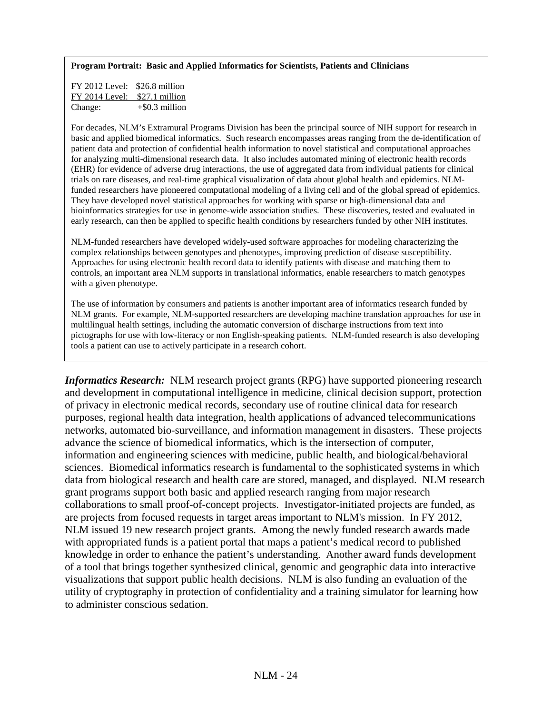#### **Program Portrait: Basic and Applied Informatics for Scientists, Patients and Clinicians**

FY 2012 Level: \$26.8 million FY 2014 Level: \$27.1 million Change: +\$0.3 million

For decades, NLM's Extramural Programs Division has been the principal source of NIH support for research in basic and applied biomedical informatics. Such research encompasses areas ranging from the de-identification of patient data and protection of confidential health information to novel statistical and computational approaches for analyzing multi-dimensional research data. It also includes automated mining of electronic health records (EHR) for evidence of adverse drug interactions, the use of aggregated data from individual patients for clinical trials on rare diseases, and real-time graphical visualization of data about global health and epidemics. NLMfunded researchers have pioneered computational modeling of a living cell and of the global spread of epidemics. They have developed novel statistical approaches for working with sparse or high-dimensional data and bioinformatics strategies for use in genome-wide association studies. These discoveries, tested and evaluated in early research, can then be applied to specific health conditions by researchers funded by other NIH institutes.

NLM-funded researchers have developed widely-used software approaches for modeling characterizing the complex relationships between genotypes and phenotypes, improving prediction of disease susceptibility. Approaches for using electronic health record data to identify patients with disease and matching them to controls, an important area NLM supports in translational informatics, enable researchers to match genotypes with a given phenotype.

The use of information by consumers and patients is another important area of informatics research funded by NLM grants. For example, NLM-supported researchers are developing machine translation approaches for use in multilingual health settings, including the automatic conversion of discharge instructions from text into pictographs for use with low-literacy or non English-speaking patients. NLM-funded research is also developing tools a patient can use to actively participate in a research cohort.

*Informatics Research:* NLM research project grants (RPG) have supported pioneering research and development in computational intelligence in medicine, clinical decision support, protection of privacy in electronic medical records, secondary use of routine clinical data for research purposes, regional health data integration, health applications of advanced telecommunications networks, automated bio-surveillance, and information management in disasters. These projects advance the science of biomedical informatics, which is the intersection of computer, information and engineering sciences with medicine, public health, and biological/behavioral sciences. Biomedical informatics research is fundamental to the sophisticated systems in which data from biological research and health care are stored, managed, and displayed. NLM research grant programs support both basic and applied research ranging from major research collaborations to small proof-of-concept projects. Investigator-initiated projects are funded, as are projects from focused requests in target areas important to NLM's mission. In FY 2012, NLM issued 19 new research project grants. Among the newly funded research awards made with appropriated funds is a patient portal that maps a patient's medical record to published knowledge in order to enhance the patient's understanding. Another award funds development of a tool that brings together synthesized clinical, genomic and geographic data into interactive visualizations that support public health decisions. NLM is also funding an evaluation of the utility of cryptography in protection of confidentiality and a training simulator for learning how to administer conscious sedation.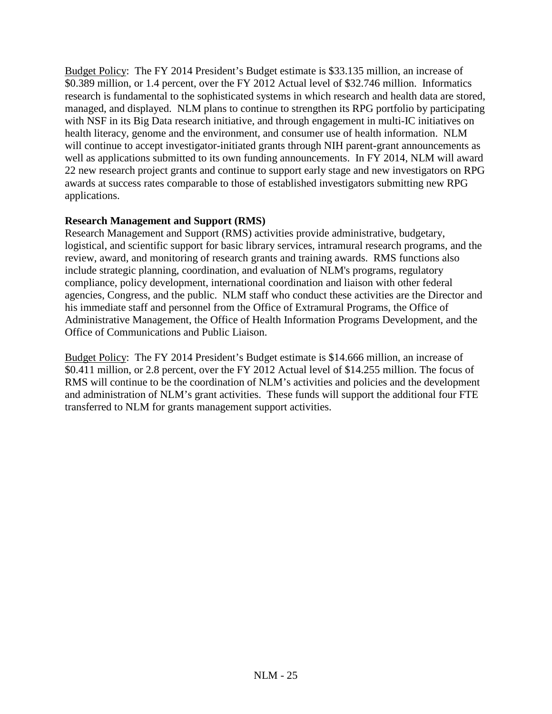Budget Policy: The FY 2014 President's Budget estimate is \$33.135 million, an increase of \$0.389 million, or 1.4 percent, over the FY 2012 Actual level of \$32.746 million. Informatics research is fundamental to the sophisticated systems in which research and health data are stored, managed, and displayed. NLM plans to continue to strengthen its RPG portfolio by participating with NSF in its Big Data research initiative, and through engagement in multi-IC initiatives on health literacy, genome and the environment, and consumer use of health information. NLM will continue to accept investigator-initiated grants through NIH parent-grant announcements as well as applications submitted to its own funding announcements. In FY 2014, NLM will award 22 new research project grants and continue to support early stage and new investigators on RPG awards at success rates comparable to those of established investigators submitting new RPG applications.

## **Research Management and Support (RMS)**

Research Management and Support (RMS) activities provide administrative, budgetary, logistical, and scientific support for basic library services, intramural research programs, and the review, award, and monitoring of research grants and training awards. RMS functions also include strategic planning, coordination, and evaluation of NLM's programs, regulatory compliance, policy development, international coordination and liaison with other federal agencies, Congress, and the public. NLM staff who conduct these activities are the Director and his immediate staff and personnel from the Office of Extramural Programs, the Office of Administrative Management, the Office of Health Information Programs Development, and the Office of Communications and Public Liaison.

Budget Policy: The FY 2014 President's Budget estimate is \$14.666 million, an increase of \$0.411 million, or 2.8 percent, over the FY 2012 Actual level of \$14.255 million. The focus of RMS will continue to be the coordination of NLM's activities and policies and the development and administration of NLM's grant activities. These funds will support the additional four FTE transferred to NLM for grants management support activities.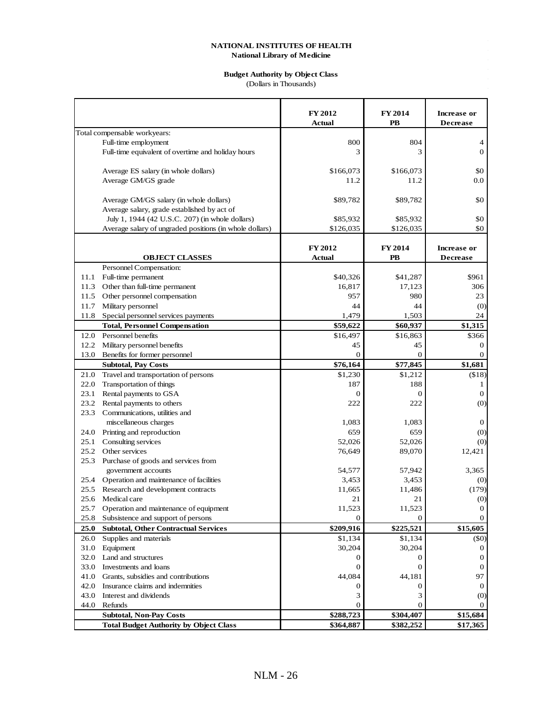## **Budget Authority by Object Class**

(Dollars in Thousands)

|      |                                                         | <b>FY 2012</b><br><b>Actual</b> | <b>FY 2014</b><br><b>PB</b> | Increase or<br><b>Decrease</b> |
|------|---------------------------------------------------------|---------------------------------|-----------------------------|--------------------------------|
|      | Total compensable workyears:                            |                                 |                             |                                |
|      | Full-time employment                                    | 800                             | 804                         | 4                              |
|      | Full-time equivalent of overtime and holiday hours      | 3                               | 3                           | $\theta$                       |
|      |                                                         |                                 |                             |                                |
|      | Average ES salary (in whole dollars)                    | \$166,073                       | \$166,073                   | \$0                            |
|      | Average GM/GS grade                                     | 11.2                            | 11.2                        | 0.0                            |
|      |                                                         |                                 |                             |                                |
|      | Average GM/GS salary (in whole dollars)                 | \$89,782                        | \$89,782                    | \$0                            |
|      | Average salary, grade established by act of             |                                 |                             |                                |
|      | July 1, 1944 (42 U.S.C. 207) (in whole dollars)         | \$85,932                        | \$85,932                    | \$0                            |
|      | Average salary of ungraded positions (in whole dollars) | \$126,035                       | \$126,035                   | \$0                            |
|      |                                                         |                                 |                             |                                |
|      |                                                         | FY 2012                         | <b>FY 2014</b>              | Increase or                    |
|      | <b>OBJECT CLASSES</b>                                   | <b>Actual</b>                   | PB                          | <b>Decrease</b>                |
|      | Personnel Compensation:                                 |                                 |                             |                                |
| 11.1 | Full-time permanent                                     | \$40,326                        | \$41,287                    | \$961                          |
| 11.3 | Other than full-time permanent                          | 16,817                          | 17,123                      | 306                            |
| 11.5 | Other personnel compensation                            | 957                             | 980                         | 23                             |
| 11.7 | Military personnel                                      | 44                              | 44                          | (0)                            |
| 11.8 | Special personnel services payments                     | 1,479                           | 1,503                       | 24                             |
|      | <b>Total, Personnel Compensation</b>                    | \$59,622                        | \$60,937                    | \$1,315                        |
|      | 12.0 Personnel benefits                                 | \$16,497                        | \$16,863                    | \$366                          |
| 12.2 | Military personnel benefits                             | 45                              | 45                          | 0                              |
| 13.0 | Benefits for former personnel                           | $\mathbf{0}$                    | $\mathbf{0}$                | $\mathbf{0}$                   |
|      | <b>Subtotal, Pay Costs</b>                              | \$76,164                        | \$77,845                    | \$1,681                        |
| 21.0 | Travel and transportation of persons                    | \$1,230                         | \$1,212                     | ( \$18)                        |
| 22.0 | Transportation of things                                | 187                             | 188                         | 1                              |
| 23.1 | Rental payments to GSA                                  | $\Omega$                        | $\Omega$                    | $\boldsymbol{0}$               |
| 23.2 | Rental payments to others                               | 222                             | 222                         | (0)                            |
| 23.3 | Communications, utilities and                           |                                 |                             |                                |
|      | miscellaneous charges                                   | 1,083                           | 1,083                       | $\boldsymbol{0}$               |
| 24.0 | Printing and reproduction                               | 659                             | 659                         | (0)                            |
| 25.1 | Consulting services                                     | 52,026                          | 52,026                      | (0)                            |
| 25.2 | Other services                                          | 76,649                          | 89,070                      | 12,421                         |
|      | 25.3 Purchase of goods and services from                |                                 |                             |                                |
|      | government accounts                                     | 54,577                          | 57,942                      | 3,365                          |
|      | 25.4 Operation and maintenance of facilities            | 3,453                           | 3,453                       | (0)                            |
| 25.5 | Research and development contracts                      | 11,665                          | 11,486                      | (179)                          |
| 25.6 | Medical care                                            | 21                              | 21                          | (0)                            |
| 25.7 | Operation and maintenance of equipment                  | 11,523                          | 11,523                      | 0                              |
| 25.8 | Subsistence and support of persons                      | 0                               | $\Omega$                    | $\overline{0}$                 |
| 25.0 | <b>Subtotal, Other Contractual Services</b>             | \$209,916                       | \$225,521                   | \$15,605                       |
| 26.0 | Supplies and materials                                  | \$1,134                         | \$1,134                     | (50)                           |
| 31.0 | Equipment                                               | 30,204                          | 30,204                      | $\theta$                       |
|      | 32.0 Land and structures                                | 0                               | 0                           | 0                              |
| 33.0 | Investments and loans                                   | $\Omega$                        | $\Omega$                    | $\theta$                       |
| 41.0 | Grants, subsidies and contributions                     | 44,084                          | 44,181                      | 97                             |
| 42.0 | Insurance claims and indemnities                        | 0                               | $\theta$                    | $\theta$                       |
| 43.0 | Interest and dividends                                  | 3                               | 3                           | $\left( 0 \right)$             |
| 44.0 | Refunds                                                 | $\mathbf{0}$                    | $\Omega$                    |                                |
|      | <b>Subtotal, Non-Pay Costs</b>                          | \$288,723                       | \$304,407                   | \$15,684                       |
|      | <b>Total Budget Authority by Object Class</b>           | \$364,887                       | \$382,252                   | \$17,365                       |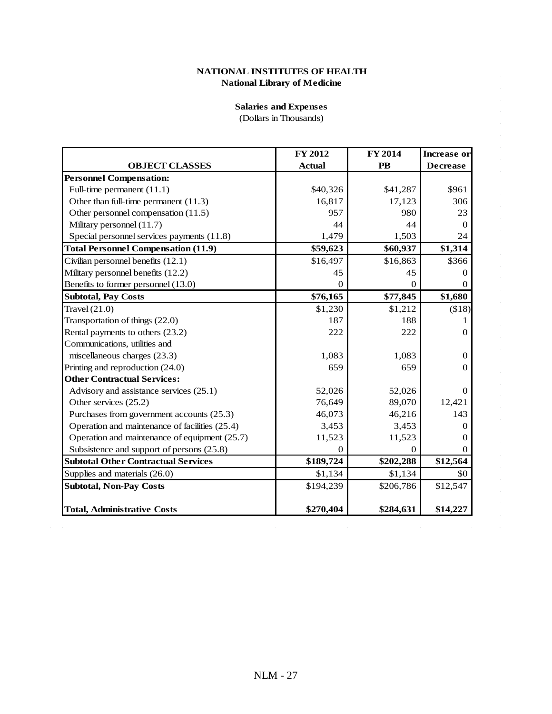### **Salaries and Expenses**

(Dollars in Thousands)

|                                                | <b>FY 2012</b> | <b>FY 2014</b> | <b>Increase</b> or |
|------------------------------------------------|----------------|----------------|--------------------|
| <b>OBJECT CLASSES</b>                          | <b>Actual</b>  | <b>PB</b>      | <b>Decrease</b>    |
| <b>Personnel Compensation:</b>                 |                |                |                    |
| Full-time permanent (11.1)                     | \$40,326       | \$41,287       | \$961              |
| Other than full-time permanent $(11.3)$        | 16,817         | 17,123         | 306                |
| Other personnel compensation (11.5)            | 957            | 980            | 23                 |
| Military personnel (11.7)                      | 44             | 44             | 0                  |
| Special personnel services payments (11.8)     | 1,479          | 1,503          | 24                 |
| <b>Total Personnel Compensation (11.9)</b>     | \$59,623       | \$60,937       | \$1,314            |
| Civilian personnel benefits (12.1)             | \$16,497       | \$16,863       | \$366              |
| Military personnel benefits (12.2)             | 45             | 45             | 0                  |
| Benefits to former personnel (13.0)            | 0              | $\Omega$       | $^{(1)}$           |
| <b>Subtotal, Pay Costs</b>                     | \$76,165       | \$77,845       | \$1,680            |
| Travel $(21.0)$                                | \$1,230        | \$1,212        | (\$18)             |
| Transportation of things (22.0)                | 187            | 188            |                    |
| Rental payments to others (23.2)               | 222            | 222            | 0                  |
| Communications, utilities and                  |                |                |                    |
| miscellaneous charges (23.3)                   | 1,083          | 1,083          | $\Omega$           |
| Printing and reproduction (24.0)               | 659            | 659            | 0                  |
| <b>Other Contractual Services:</b>             |                |                |                    |
| Advisory and assistance services (25.1)        | 52,026         | 52,026         | $\Omega$           |
| Other services (25.2)                          | 76,649         | 89,070         | 12,421             |
| Purchases from government accounts (25.3)      | 46,073         | 46,216         | 143                |
| Operation and maintenance of facilities (25.4) | 3,453          | 3,453          | 0                  |
| Operation and maintenance of equipment (25.7)  | 11,523         | 11,523         |                    |
| Subsistence and support of persons (25.8)      | 0              | 0              | $\Omega$           |
| <b>Subtotal Other Contractual Services</b>     | \$189,724      | \$202,288      | \$12,564           |
| Supplies and materials (26.0)                  | \$1,134        | \$1,134        | \$0                |
| <b>Subtotal, Non-Pay Costs</b>                 | \$194,239      | \$206,786      | \$12,547           |
|                                                |                |                |                    |
| <b>Total, Administrative Costs</b>             | \$270,404      | \$284,631      | \$14,227           |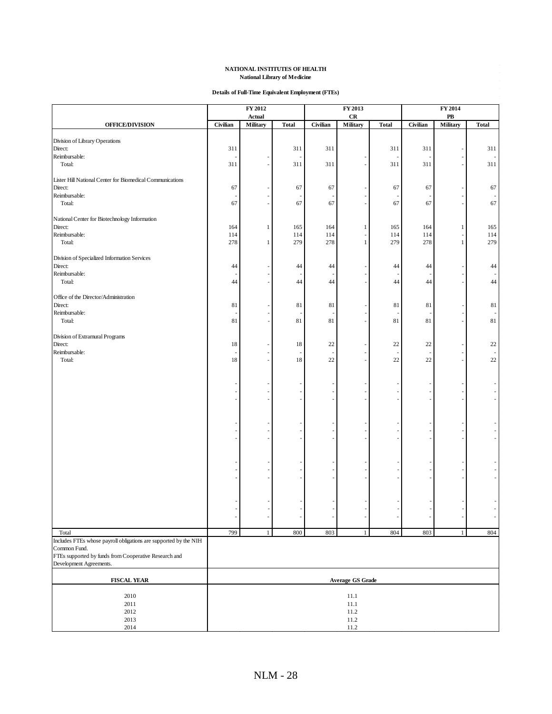#### **Details of Full-Time Equivalent Employment (FTEs)**

|                                                                           |            | FY 2012            |              |            | FY 2013                 |              |            | FY 2014                      |              |
|---------------------------------------------------------------------------|------------|--------------------|--------------|------------|-------------------------|--------------|------------|------------------------------|--------------|
| <b>OFFICE/DIVISION</b>                                                    | Civilian   | Actual<br>Military | <b>Total</b> | Civilian   | CR<br>Military          | <b>Total</b> | Civilian   | ${\bf P}{\bf B}$<br>Military | <b>Total</b> |
|                                                                           |            |                    |              |            |                         |              |            |                              |              |
| Division of Library Operations                                            |            |                    |              |            |                         |              |            |                              |              |
| Direct:<br>Reimbursable:                                                  | 311        |                    | 311          | 311        |                         | 311          | 311        |                              | 311          |
| Total:                                                                    | 311        |                    | 311          | 311        |                         | 311          | 311        |                              | 311          |
| Lister Hill National Center for Biomedical Communications                 |            |                    |              |            |                         |              |            |                              |              |
| Direct:                                                                   | 67         |                    | 67           | 67         |                         | 67           | 67         |                              | 67           |
| Reimbursable:                                                             |            |                    |              |            |                         |              |            |                              |              |
| Total:                                                                    | 67         |                    | 67           | 67         |                         | 67           | 67         |                              | 67           |
| National Center for Biotechnology Information                             |            |                    |              |            |                         |              |            |                              |              |
| Direct:                                                                   | 164        | 1                  | 165          | 164        | 1                       | 165          | 164        | 1                            | 165          |
| Reimbursable:<br>Total:                                                   | 114<br>278 | $\mathbf{1}$       | 114<br>279   | 114<br>278 | $\mathbf{1}$            | 114<br>279   | 114<br>278 | $\,1$                        | 114<br>279   |
|                                                                           |            |                    |              |            |                         |              |            |                              |              |
| Division of Specialized Information Services                              |            |                    |              |            |                         |              |            |                              |              |
| Direct:<br>Reimbursable:                                                  | 44         |                    | 44           | 44         |                         | 44           | 44         |                              | 44           |
| Total:                                                                    | 44         |                    | 44           | 44         |                         | 44           | 44         |                              | 44           |
| Office of the Director/Administration                                     |            |                    |              |            |                         |              |            |                              |              |
| Direct:                                                                   | 81         |                    | 81           | 81         |                         | 81           | 81         |                              | 81           |
| Reimbursable:                                                             |            |                    |              |            |                         |              |            |                              |              |
| Total:                                                                    | 81         |                    | 81           | 81         |                         | 81           | 81         |                              | 81           |
| Division of Extramural Programs                                           |            |                    |              |            |                         |              |            |                              |              |
| Direct:                                                                   | 18         |                    | 18           | 22         |                         | 22           | 22         |                              | 22           |
| Reimbursable:                                                             |            |                    |              |            |                         |              |            |                              |              |
| Total:                                                                    | 18         |                    | 18           | 22         |                         | 22           | 22         |                              | 22           |
|                                                                           |            |                    |              |            |                         |              |            |                              |              |
|                                                                           |            |                    |              |            |                         |              |            |                              |              |
|                                                                           |            |                    |              |            |                         |              |            |                              |              |
|                                                                           |            |                    |              |            |                         |              |            |                              |              |
|                                                                           |            |                    |              |            |                         |              |            |                              |              |
|                                                                           |            |                    |              |            |                         |              |            |                              |              |
|                                                                           |            |                    |              |            |                         |              |            |                              |              |
|                                                                           |            |                    |              |            |                         |              |            |                              |              |
|                                                                           |            |                    |              |            |                         |              |            |                              |              |
|                                                                           |            |                    |              |            |                         |              |            |                              |              |
|                                                                           |            |                    |              |            |                         |              |            |                              |              |
|                                                                           |            |                    |              |            |                         |              |            |                              |              |
|                                                                           |            |                    |              |            |                         |              |            |                              |              |
|                                                                           |            |                    |              |            |                         |              |            |                              |              |
|                                                                           |            |                    |              |            |                         |              |            |                              |              |
| Total<br>Includes FTEs whose payroll obligations are supported by the NIH | 799        | 1 <sup>1</sup>     | 800          | 803        | $\mathbf{1}$            | 804          | 803        | $\mathbf{1}$                 | 804          |
| Common Fund.                                                              |            |                    |              |            |                         |              |            |                              |              |
| FTEs supported by funds from Cooperative Research and                     |            |                    |              |            |                         |              |            |                              |              |
| Development Agreements.                                                   |            |                    |              |            |                         |              |            |                              |              |
| <b>FISCAL YEAR</b>                                                        |            |                    |              |            | <b>Average GS Grade</b> |              |            |                              |              |
|                                                                           |            |                    |              |            |                         |              |            |                              |              |
| 2010<br>2011                                                              |            |                    |              |            | 11.1<br>11.1            |              |            |                              |              |
| 2012                                                                      |            |                    |              |            | 11.2                    |              |            |                              |              |
| 2013                                                                      |            |                    |              |            | 11.2                    |              |            |                              |              |
| 2014                                                                      |            |                    |              |            | 11.2                    |              |            |                              |              |